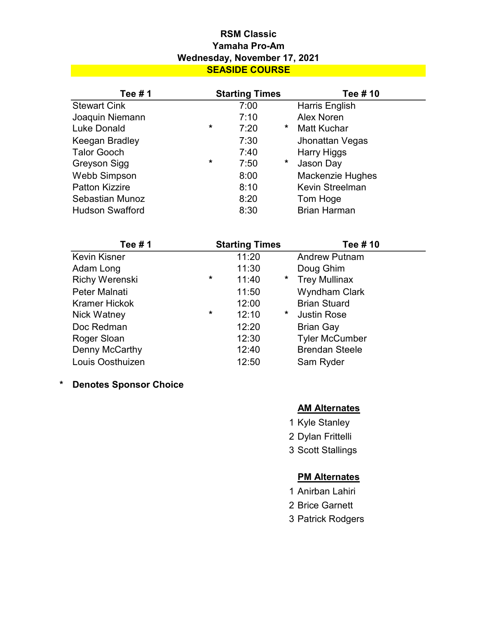# SEASIDE COURSE RSM Classic Yamaha Pro-Am Wednesday, November 17, 2021

|                        |         | <b>Starting Times</b> |   | Tee # 10                |
|------------------------|---------|-----------------------|---|-------------------------|
| <b>Stewart Cink</b>    |         | 7:00                  |   | Harris English          |
| Joaquin Niemann        |         | 7:10                  |   | <b>Alex Noren</b>       |
| <b>Luke Donald</b>     | $\star$ | 7:20                  | * | <b>Matt Kuchar</b>      |
| Keegan Bradley         |         | 7:30                  |   | Jhonattan Vegas         |
| <b>Talor Gooch</b>     |         | 7:40                  |   | <b>Harry Higgs</b>      |
| Greyson Sigg           | $\star$ | 7:50                  | * | Jason Day               |
| <b>Webb Simpson</b>    |         | 8:00                  |   | <b>Mackenzie Hughes</b> |
| <b>Patton Kizzire</b>  |         | 8:10                  |   | Kevin Streelman         |
| Sebastian Munoz        |         | 8:20                  |   | Tom Hoge                |
| <b>Hudson Swafford</b> |         | 8:30                  |   | <b>Brian Harman</b>     |

| Tee #1                | <b>Starting Times</b> |       |         | Tee # 10              |  |
|-----------------------|-----------------------|-------|---------|-----------------------|--|
| <b>Kevin Kisner</b>   |                       | 11:20 |         | <b>Andrew Putnam</b>  |  |
| Adam Long             |                       | 11:30 |         | Doug Ghim             |  |
| <b>Richy Werenski</b> | $\star$               | 11:40 | $\star$ | <b>Trey Mullinax</b>  |  |
| Peter Malnati         |                       | 11:50 |         | <b>Wyndham Clark</b>  |  |
| <b>Kramer Hickok</b>  |                       | 12:00 |         | <b>Brian Stuard</b>   |  |
| Nick Watney           | $\star$               | 12:10 | *       | <b>Justin Rose</b>    |  |
| Doc Redman            |                       | 12:20 |         | <b>Brian Gay</b>      |  |
| Roger Sloan           |                       | 12:30 |         | <b>Tyler McCumber</b> |  |
| Denny McCarthy        |                       | 12:40 |         | <b>Brendan Steele</b> |  |
| Louis Oosthuizen      |                       | 12:50 |         | Sam Ryder             |  |

\* Denotes Sponsor Choice

## **AM Alternates**

- 1 Kyle Stanley
- 2 Dylan Frittelli
- 3 Scott Stallings

# **PM Alternates**

- 1 Anirban Lahiri
- 2 Brice Garnett
- 3 Patrick Rodgers